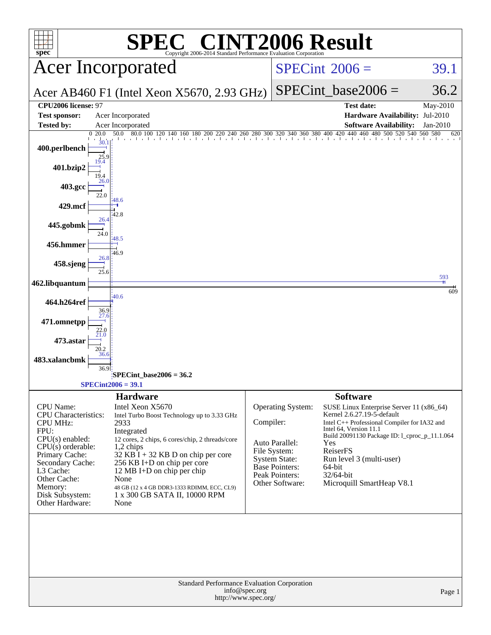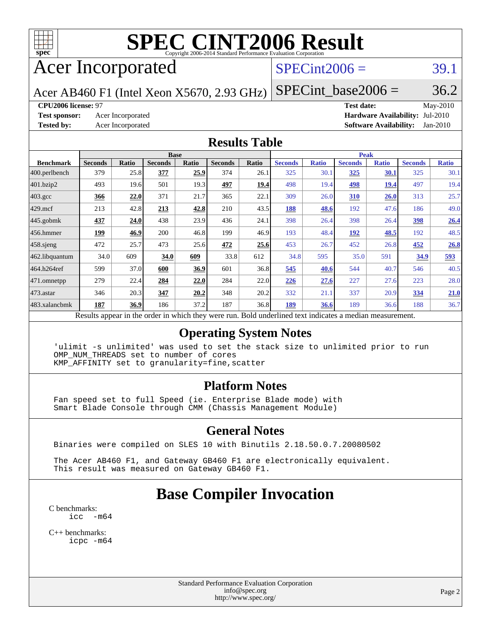

# **[SPEC CINT2006 Result](http://www.spec.org/auto/cpu2006/Docs/result-fields.html#SPECCINT2006Result)**

### Acer Incorporated

### $SPECint2006 = 39.1$  $SPECint2006 = 39.1$

Acer AB460 F1 (Intel Xeon X5670, 2.93 GHz)

 $SPECTnt\_base2006 = 36.2$ 

### **[CPU2006 license:](http://www.spec.org/auto/cpu2006/Docs/result-fields.html#CPU2006license)** 97 **[Test date:](http://www.spec.org/auto/cpu2006/Docs/result-fields.html#Testdate)** May-2010

**[Test sponsor:](http://www.spec.org/auto/cpu2006/Docs/result-fields.html#Testsponsor)** Acer Incorporated **[Hardware Availability:](http://www.spec.org/auto/cpu2006/Docs/result-fields.html#HardwareAvailability)** Jul-2010 **[Tested by:](http://www.spec.org/auto/cpu2006/Docs/result-fields.html#Testedby)** Acer Incorporated **[Software Availability:](http://www.spec.org/auto/cpu2006/Docs/result-fields.html#SoftwareAvailability)** Jan-2010

### **[Results Table](http://www.spec.org/auto/cpu2006/Docs/result-fields.html#ResultsTable)**

|                         |                                                                                                         |       | <b>Base</b>    |              |                |       |                |              | <b>Peak</b>    |              |                |              |
|-------------------------|---------------------------------------------------------------------------------------------------------|-------|----------------|--------------|----------------|-------|----------------|--------------|----------------|--------------|----------------|--------------|
| <b>Benchmark</b>        | <b>Seconds</b>                                                                                          | Ratio | <b>Seconds</b> | <b>Ratio</b> | <b>Seconds</b> | Ratio | <b>Seconds</b> | <b>Ratio</b> | <b>Seconds</b> | <b>Ratio</b> | <b>Seconds</b> | <b>Ratio</b> |
| $ 400.\text{perlbench}$ | 379                                                                                                     | 25.8  | 377            | 25.9         | 374            | 26.1  | 325            | 30.1         | 325            | 30.1         | 325            | 30.1         |
| 401.bzip2               | 493                                                                                                     | 19.6  | 501            | 19.3         | 497            | 19.4  | 498            | 19.4         | 498            | 19.4         | 497            | 19.4         |
| $403.\text{gcc}$        | 366                                                                                                     | 22.0  | 371            | 21.7         | 365            | 22.1  | 309            | 26.0         | <b>310</b>     | 26.0         | 313            | 25.7         |
| $429$ .mcf              | 213                                                                                                     | 42.8  | 213            | 42.8         | 210            | 43.5  | 188            | 48.6         | 192            | 47.6         | 186            | 49.0         |
| $445$ .gobmk            | 437                                                                                                     | 24.0  | 438            | 23.9         | 436            | 24.1  | 398            | 26.4         | 398            | 26.4         | 398            | 26.4         |
| 456.hmmer               | 199                                                                                                     | 46.9  | 200            | 46.8         | 199            | 46.9  | 193            | 48.4         | 192            | 48.5         | 192            | 48.5         |
| 458 sjeng               | 472                                                                                                     | 25.7  | 473            | 25.6         | 472            | 25.6  | 453            | 26.7         | 452            | 26.8         | 452            | 26.8         |
| 462.libquantum          | 34.0                                                                                                    | 609   | 34.0           | 609          | 33.8           | 612   | 34.8           | 595          | 35.0           | 591          | 34.9           | 593          |
| 464.h264ref             | 599                                                                                                     | 37.0  | 600            | 36.9         | 601            | 36.8  | 545            | 40.6         | 544            | 40.7         | 546            | 40.5         |
| $ 471$ .omnetpp         | 279                                                                                                     | 22.4  | 284            | 22.0         | 284            | 22.0  | 226            | 27.6         | 227            | 27.6         | 223            | 28.0         |
| $473.$ astar            | 346                                                                                                     | 20.3  | 347            | 20.2         | 348            | 20.2  | 332            | 21.1         | 337            | 20.9         | 334            | 21.0         |
| 483.xalancbmk           | 187                                                                                                     | 36.9  | 186            | 37.2         | 187            | 36.8  | 189            | 36.6         | 189            | 36.6         | 188            | 36.7         |
|                         | Docults appear in the order in which they were run. Rold underlined text indicates a modian measurement |       |                |              |                |       |                |              |                |              |                |              |

Results appear in the [order in which they were run.](http://www.spec.org/auto/cpu2006/Docs/result-fields.html#RunOrder) Bold underlined text [indicates a median measurement.](http://www.spec.org/auto/cpu2006/Docs/result-fields.html#Median)

### **[Operating System Notes](http://www.spec.org/auto/cpu2006/Docs/result-fields.html#OperatingSystemNotes)**

 'ulimit -s unlimited' was used to set the stack size to unlimited prior to run OMP\_NUM\_THREADS set to number of cores KMP\_AFFINITY set to granularity=fine,scatter

### **[Platform Notes](http://www.spec.org/auto/cpu2006/Docs/result-fields.html#PlatformNotes)**

 Fan speed set to full Speed (ie. Enterprise Blade mode) with Smart Blade Console through CMM (Chassis Management Module)

### **[General Notes](http://www.spec.org/auto/cpu2006/Docs/result-fields.html#GeneralNotes)**

Binaries were compiled on SLES 10 with Binutils 2.18.50.0.7.20080502

 The Acer AB460 F1, and Gateway GB460 F1 are electronically equivalent. This result was measured on Gateway GB460 F1.

### **[Base Compiler Invocation](http://www.spec.org/auto/cpu2006/Docs/result-fields.html#BaseCompilerInvocation)**

[C benchmarks](http://www.spec.org/auto/cpu2006/Docs/result-fields.html#Cbenchmarks): [icc -m64](http://www.spec.org/cpu2006/results/res2010q3/cpu2006-20100608-11654.flags.html#user_CCbase_intel_icc_64bit_f346026e86af2a669e726fe758c88044)

[C++ benchmarks:](http://www.spec.org/auto/cpu2006/Docs/result-fields.html#CXXbenchmarks) [icpc -m64](http://www.spec.org/cpu2006/results/res2010q3/cpu2006-20100608-11654.flags.html#user_CXXbase_intel_icpc_64bit_fc66a5337ce925472a5c54ad6a0de310)

> Standard Performance Evaluation Corporation [info@spec.org](mailto:info@spec.org) <http://www.spec.org/>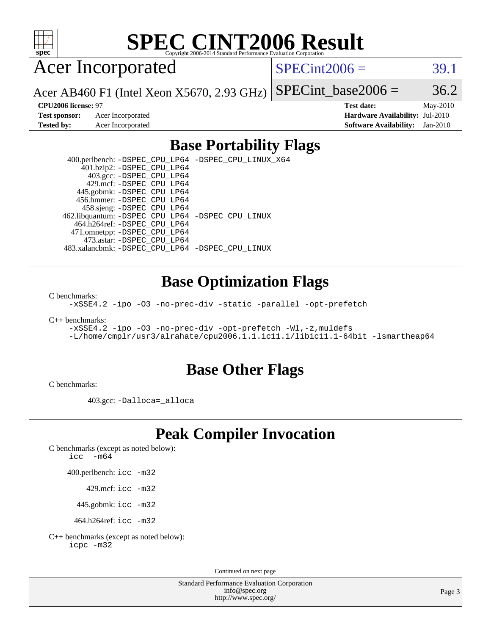

## **[SPEC CINT2006 Result](http://www.spec.org/auto/cpu2006/Docs/result-fields.html#SPECCINT2006Result)**

Acer Incorporated

 $SPECint2006 = 39.1$  $SPECint2006 = 39.1$ 

Acer AB460 F1 (Intel Xeon X5670, 2.93 GHz) SPECint base2006 =  $36.2$ 

**[CPU2006 license:](http://www.spec.org/auto/cpu2006/Docs/result-fields.html#CPU2006license)** 97 **[Test date:](http://www.spec.org/auto/cpu2006/Docs/result-fields.html#Testdate)** May-2010 **[Test sponsor:](http://www.spec.org/auto/cpu2006/Docs/result-fields.html#Testsponsor)** Acer Incorporated **[Hardware Availability:](http://www.spec.org/auto/cpu2006/Docs/result-fields.html#HardwareAvailability)** Jul-2010 **[Tested by:](http://www.spec.org/auto/cpu2006/Docs/result-fields.html#Testedby)** Acer Incorporated **[Software Availability:](http://www.spec.org/auto/cpu2006/Docs/result-fields.html#SoftwareAvailability)** Jan-2010

### **[Base Portability Flags](http://www.spec.org/auto/cpu2006/Docs/result-fields.html#BasePortabilityFlags)**

 400.perlbench: [-DSPEC\\_CPU\\_LP64](http://www.spec.org/cpu2006/results/res2010q3/cpu2006-20100608-11654.flags.html#b400.perlbench_basePORTABILITY_DSPEC_CPU_LP64) [-DSPEC\\_CPU\\_LINUX\\_X64](http://www.spec.org/cpu2006/results/res2010q3/cpu2006-20100608-11654.flags.html#b400.perlbench_baseCPORTABILITY_DSPEC_CPU_LINUX_X64) 401.bzip2: [-DSPEC\\_CPU\\_LP64](http://www.spec.org/cpu2006/results/res2010q3/cpu2006-20100608-11654.flags.html#suite_basePORTABILITY401_bzip2_DSPEC_CPU_LP64) 403.gcc: [-DSPEC\\_CPU\\_LP64](http://www.spec.org/cpu2006/results/res2010q3/cpu2006-20100608-11654.flags.html#suite_basePORTABILITY403_gcc_DSPEC_CPU_LP64) 429.mcf: [-DSPEC\\_CPU\\_LP64](http://www.spec.org/cpu2006/results/res2010q3/cpu2006-20100608-11654.flags.html#suite_basePORTABILITY429_mcf_DSPEC_CPU_LP64) 445.gobmk: [-DSPEC\\_CPU\\_LP64](http://www.spec.org/cpu2006/results/res2010q3/cpu2006-20100608-11654.flags.html#suite_basePORTABILITY445_gobmk_DSPEC_CPU_LP64) 456.hmmer: [-DSPEC\\_CPU\\_LP64](http://www.spec.org/cpu2006/results/res2010q3/cpu2006-20100608-11654.flags.html#suite_basePORTABILITY456_hmmer_DSPEC_CPU_LP64) 458.sjeng: [-DSPEC\\_CPU\\_LP64](http://www.spec.org/cpu2006/results/res2010q3/cpu2006-20100608-11654.flags.html#suite_basePORTABILITY458_sjeng_DSPEC_CPU_LP64) 462.libquantum: [-DSPEC\\_CPU\\_LP64](http://www.spec.org/cpu2006/results/res2010q3/cpu2006-20100608-11654.flags.html#suite_basePORTABILITY462_libquantum_DSPEC_CPU_LP64) [-DSPEC\\_CPU\\_LINUX](http://www.spec.org/cpu2006/results/res2010q3/cpu2006-20100608-11654.flags.html#b462.libquantum_baseCPORTABILITY_DSPEC_CPU_LINUX) 464.h264ref: [-DSPEC\\_CPU\\_LP64](http://www.spec.org/cpu2006/results/res2010q3/cpu2006-20100608-11654.flags.html#suite_basePORTABILITY464_h264ref_DSPEC_CPU_LP64) 471.omnetpp: [-DSPEC\\_CPU\\_LP64](http://www.spec.org/cpu2006/results/res2010q3/cpu2006-20100608-11654.flags.html#suite_basePORTABILITY471_omnetpp_DSPEC_CPU_LP64) 473.astar: [-DSPEC\\_CPU\\_LP64](http://www.spec.org/cpu2006/results/res2010q3/cpu2006-20100608-11654.flags.html#suite_basePORTABILITY473_astar_DSPEC_CPU_LP64) 483.xalancbmk: [-DSPEC\\_CPU\\_LP64](http://www.spec.org/cpu2006/results/res2010q3/cpu2006-20100608-11654.flags.html#suite_basePORTABILITY483_xalancbmk_DSPEC_CPU_LP64) [-DSPEC\\_CPU\\_LINUX](http://www.spec.org/cpu2006/results/res2010q3/cpu2006-20100608-11654.flags.html#b483.xalancbmk_baseCXXPORTABILITY_DSPEC_CPU_LINUX)

### **[Base Optimization Flags](http://www.spec.org/auto/cpu2006/Docs/result-fields.html#BaseOptimizationFlags)**

[C benchmarks](http://www.spec.org/auto/cpu2006/Docs/result-fields.html#Cbenchmarks):

[-xSSE4.2](http://www.spec.org/cpu2006/results/res2010q3/cpu2006-20100608-11654.flags.html#user_CCbase_f-xSSE42_f91528193cf0b216347adb8b939d4107) [-ipo](http://www.spec.org/cpu2006/results/res2010q3/cpu2006-20100608-11654.flags.html#user_CCbase_f-ipo) [-O3](http://www.spec.org/cpu2006/results/res2010q3/cpu2006-20100608-11654.flags.html#user_CCbase_f-O3) [-no-prec-div](http://www.spec.org/cpu2006/results/res2010q3/cpu2006-20100608-11654.flags.html#user_CCbase_f-no-prec-div) [-static](http://www.spec.org/cpu2006/results/res2010q3/cpu2006-20100608-11654.flags.html#user_CCbase_f-static) [-parallel](http://www.spec.org/cpu2006/results/res2010q3/cpu2006-20100608-11654.flags.html#user_CCbase_f-parallel) [-opt-prefetch](http://www.spec.org/cpu2006/results/res2010q3/cpu2006-20100608-11654.flags.html#user_CCbase_f-opt-prefetch)

[C++ benchmarks:](http://www.spec.org/auto/cpu2006/Docs/result-fields.html#CXXbenchmarks)

[-xSSE4.2](http://www.spec.org/cpu2006/results/res2010q3/cpu2006-20100608-11654.flags.html#user_CXXbase_f-xSSE42_f91528193cf0b216347adb8b939d4107) [-ipo](http://www.spec.org/cpu2006/results/res2010q3/cpu2006-20100608-11654.flags.html#user_CXXbase_f-ipo) [-O3](http://www.spec.org/cpu2006/results/res2010q3/cpu2006-20100608-11654.flags.html#user_CXXbase_f-O3) [-no-prec-div](http://www.spec.org/cpu2006/results/res2010q3/cpu2006-20100608-11654.flags.html#user_CXXbase_f-no-prec-div) [-opt-prefetch](http://www.spec.org/cpu2006/results/res2010q3/cpu2006-20100608-11654.flags.html#user_CXXbase_f-opt-prefetch) [-Wl,-z,muldefs](http://www.spec.org/cpu2006/results/res2010q3/cpu2006-20100608-11654.flags.html#user_CXXbase_link_force_multiple1_74079c344b956b9658436fd1b6dd3a8a) [-L/home/cmplr/usr3/alrahate/cpu2006.1.1.ic11.1/libic11.1-64bit -lsmartheap64](http://www.spec.org/cpu2006/results/res2010q3/cpu2006-20100608-11654.flags.html#user_CXXbase_SmartHeap64_e2306cda84805d1ab360117a79ff779c)

### **[Base Other Flags](http://www.spec.org/auto/cpu2006/Docs/result-fields.html#BaseOtherFlags)**

[C benchmarks](http://www.spec.org/auto/cpu2006/Docs/result-fields.html#Cbenchmarks):

403.gcc: [-Dalloca=\\_alloca](http://www.spec.org/cpu2006/results/res2010q3/cpu2006-20100608-11654.flags.html#b403.gcc_baseEXTRA_CFLAGS_Dalloca_be3056838c12de2578596ca5467af7f3)

### **[Peak Compiler Invocation](http://www.spec.org/auto/cpu2006/Docs/result-fields.html#PeakCompilerInvocation)**

[C benchmarks \(except as noted below\)](http://www.spec.org/auto/cpu2006/Docs/result-fields.html#Cbenchmarksexceptasnotedbelow):

icc  $-m64$ 

400.perlbench: [icc -m32](http://www.spec.org/cpu2006/results/res2010q3/cpu2006-20100608-11654.flags.html#user_peakCCLD400_perlbench_intel_icc_32bit_a6a621f8d50482236b970c6ac5f55f93)

429.mcf: [icc -m32](http://www.spec.org/cpu2006/results/res2010q3/cpu2006-20100608-11654.flags.html#user_peakCCLD429_mcf_intel_icc_32bit_a6a621f8d50482236b970c6ac5f55f93)

445.gobmk: [icc -m32](http://www.spec.org/cpu2006/results/res2010q3/cpu2006-20100608-11654.flags.html#user_peakCCLD445_gobmk_intel_icc_32bit_a6a621f8d50482236b970c6ac5f55f93)

464.h264ref: [icc -m32](http://www.spec.org/cpu2006/results/res2010q3/cpu2006-20100608-11654.flags.html#user_peakCCLD464_h264ref_intel_icc_32bit_a6a621f8d50482236b970c6ac5f55f93)

[C++ benchmarks \(except as noted below\):](http://www.spec.org/auto/cpu2006/Docs/result-fields.html#CXXbenchmarksexceptasnotedbelow) [icpc -m32](http://www.spec.org/cpu2006/results/res2010q3/cpu2006-20100608-11654.flags.html#user_CXXpeak_intel_icpc_32bit_4e5a5ef1a53fd332b3c49e69c3330699)

Continued on next page

Standard Performance Evaluation Corporation [info@spec.org](mailto:info@spec.org) <http://www.spec.org/>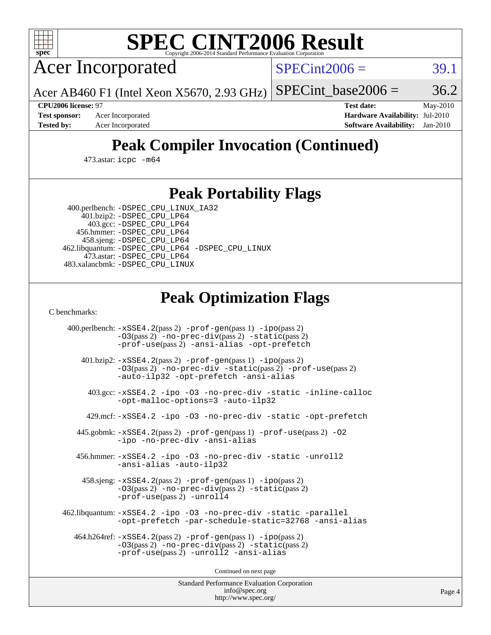

## **[SPEC CINT2006 Result](http://www.spec.org/auto/cpu2006/Docs/result-fields.html#SPECCINT2006Result)**

Acer Incorporated

 $SPECint2006 = 39.1$  $SPECint2006 = 39.1$ 

Acer AB460 F1 (Intel Xeon X5670, 2.93 GHz) SPECint base2006 =  $36.2$ 

**[CPU2006 license:](http://www.spec.org/auto/cpu2006/Docs/result-fields.html#CPU2006license)** 97 **[Test date:](http://www.spec.org/auto/cpu2006/Docs/result-fields.html#Testdate)** May-2010 **[Test sponsor:](http://www.spec.org/auto/cpu2006/Docs/result-fields.html#Testsponsor)** Acer Incorporated **[Hardware Availability:](http://www.spec.org/auto/cpu2006/Docs/result-fields.html#HardwareAvailability)** Jul-2010 **[Tested by:](http://www.spec.org/auto/cpu2006/Docs/result-fields.html#Testedby)** Acer Incorporated **[Software Availability:](http://www.spec.org/auto/cpu2006/Docs/result-fields.html#SoftwareAvailability)** Jan-2010

### **[Peak Compiler Invocation \(Continued\)](http://www.spec.org/auto/cpu2006/Docs/result-fields.html#PeakCompilerInvocation)**

473.astar: [icpc -m64](http://www.spec.org/cpu2006/results/res2010q3/cpu2006-20100608-11654.flags.html#user_peakCXXLD473_astar_intel_icpc_64bit_fc66a5337ce925472a5c54ad6a0de310)

### **[Peak Portability Flags](http://www.spec.org/auto/cpu2006/Docs/result-fields.html#PeakPortabilityFlags)**

 400.perlbench: [-DSPEC\\_CPU\\_LINUX\\_IA32](http://www.spec.org/cpu2006/results/res2010q3/cpu2006-20100608-11654.flags.html#b400.perlbench_peakCPORTABILITY_DSPEC_CPU_LINUX_IA32) 401.bzip2: [-DSPEC\\_CPU\\_LP64](http://www.spec.org/cpu2006/results/res2010q3/cpu2006-20100608-11654.flags.html#suite_peakPORTABILITY401_bzip2_DSPEC_CPU_LP64)

 403.gcc: [-DSPEC\\_CPU\\_LP64](http://www.spec.org/cpu2006/results/res2010q3/cpu2006-20100608-11654.flags.html#suite_peakPORTABILITY403_gcc_DSPEC_CPU_LP64) 456.hmmer: [-DSPEC\\_CPU\\_LP64](http://www.spec.org/cpu2006/results/res2010q3/cpu2006-20100608-11654.flags.html#suite_peakPORTABILITY456_hmmer_DSPEC_CPU_LP64) 458.sjeng: [-DSPEC\\_CPU\\_LP64](http://www.spec.org/cpu2006/results/res2010q3/cpu2006-20100608-11654.flags.html#suite_peakPORTABILITY458_sjeng_DSPEC_CPU_LP64) 462.libquantum: [-DSPEC\\_CPU\\_LP64](http://www.spec.org/cpu2006/results/res2010q3/cpu2006-20100608-11654.flags.html#suite_peakPORTABILITY462_libquantum_DSPEC_CPU_LP64) [-DSPEC\\_CPU\\_LINUX](http://www.spec.org/cpu2006/results/res2010q3/cpu2006-20100608-11654.flags.html#b462.libquantum_peakCPORTABILITY_DSPEC_CPU_LINUX) 473.astar: [-DSPEC\\_CPU\\_LP64](http://www.spec.org/cpu2006/results/res2010q3/cpu2006-20100608-11654.flags.html#suite_peakPORTABILITY473_astar_DSPEC_CPU_LP64) 483.xalancbmk: [-DSPEC\\_CPU\\_LINUX](http://www.spec.org/cpu2006/results/res2010q3/cpu2006-20100608-11654.flags.html#b483.xalancbmk_peakCXXPORTABILITY_DSPEC_CPU_LINUX)

### **[Peak Optimization Flags](http://www.spec.org/auto/cpu2006/Docs/result-fields.html#PeakOptimizationFlags)**

[C benchmarks](http://www.spec.org/auto/cpu2006/Docs/result-fields.html#Cbenchmarks):

 400.perlbench: [-xSSE4.2](http://www.spec.org/cpu2006/results/res2010q3/cpu2006-20100608-11654.flags.html#user_peakPASS2_CFLAGSPASS2_LDCFLAGS400_perlbench_f-xSSE42_f91528193cf0b216347adb8b939d4107)(pass 2) [-prof-gen](http://www.spec.org/cpu2006/results/res2010q3/cpu2006-20100608-11654.flags.html#user_peakPASS1_CFLAGSPASS1_LDCFLAGS400_perlbench_prof_gen_e43856698f6ca7b7e442dfd80e94a8fc)(pass 1) [-ipo](http://www.spec.org/cpu2006/results/res2010q3/cpu2006-20100608-11654.flags.html#user_peakPASS2_CFLAGSPASS2_LDCFLAGS400_perlbench_f-ipo)(pass 2) [-O3](http://www.spec.org/cpu2006/results/res2010q3/cpu2006-20100608-11654.flags.html#user_peakPASS2_CFLAGSPASS2_LDCFLAGS400_perlbench_f-O3)(pass 2) [-no-prec-div](http://www.spec.org/cpu2006/results/res2010q3/cpu2006-20100608-11654.flags.html#user_peakPASS2_CFLAGSPASS2_LDCFLAGS400_perlbench_f-no-prec-div)(pass 2) [-static](http://www.spec.org/cpu2006/results/res2010q3/cpu2006-20100608-11654.flags.html#user_peakPASS2_CFLAGSPASS2_LDCFLAGS400_perlbench_f-static)(pass 2) [-prof-use](http://www.spec.org/cpu2006/results/res2010q3/cpu2006-20100608-11654.flags.html#user_peakPASS2_CFLAGSPASS2_LDCFLAGS400_perlbench_prof_use_bccf7792157ff70d64e32fe3e1250b55)(pass 2) [-ansi-alias](http://www.spec.org/cpu2006/results/res2010q3/cpu2006-20100608-11654.flags.html#user_peakCOPTIMIZE400_perlbench_f-ansi-alias) [-opt-prefetch](http://www.spec.org/cpu2006/results/res2010q3/cpu2006-20100608-11654.flags.html#user_peakCOPTIMIZE400_perlbench_f-opt-prefetch) 401.bzip2: [-xSSE4.2](http://www.spec.org/cpu2006/results/res2010q3/cpu2006-20100608-11654.flags.html#user_peakPASS2_CFLAGSPASS2_LDCFLAGS401_bzip2_f-xSSE42_f91528193cf0b216347adb8b939d4107)(pass 2) [-prof-gen](http://www.spec.org/cpu2006/results/res2010q3/cpu2006-20100608-11654.flags.html#user_peakPASS1_CFLAGSPASS1_LDCFLAGS401_bzip2_prof_gen_e43856698f6ca7b7e442dfd80e94a8fc)(pass 1) [-ipo](http://www.spec.org/cpu2006/results/res2010q3/cpu2006-20100608-11654.flags.html#user_peakPASS2_CFLAGSPASS2_LDCFLAGS401_bzip2_f-ipo)(pass 2) [-O3](http://www.spec.org/cpu2006/results/res2010q3/cpu2006-20100608-11654.flags.html#user_peakPASS2_CFLAGSPASS2_LDCFLAGS401_bzip2_f-O3)(pass 2) [-no-prec-div](http://www.spec.org/cpu2006/results/res2010q3/cpu2006-20100608-11654.flags.html#user_peakCOPTIMIZEPASS2_CFLAGSPASS2_LDCFLAGS401_bzip2_f-no-prec-div) [-static](http://www.spec.org/cpu2006/results/res2010q3/cpu2006-20100608-11654.flags.html#user_peakPASS2_CFLAGSPASS2_LDCFLAGS401_bzip2_f-static)(pass 2) [-prof-use](http://www.spec.org/cpu2006/results/res2010q3/cpu2006-20100608-11654.flags.html#user_peakPASS2_CFLAGSPASS2_LDCFLAGS401_bzip2_prof_use_bccf7792157ff70d64e32fe3e1250b55)(pass 2) [-auto-ilp32](http://www.spec.org/cpu2006/results/res2010q3/cpu2006-20100608-11654.flags.html#user_peakCOPTIMIZE401_bzip2_f-auto-ilp32) [-opt-prefetch](http://www.spec.org/cpu2006/results/res2010q3/cpu2006-20100608-11654.flags.html#user_peakCOPTIMIZE401_bzip2_f-opt-prefetch) [-ansi-alias](http://www.spec.org/cpu2006/results/res2010q3/cpu2006-20100608-11654.flags.html#user_peakCOPTIMIZE401_bzip2_f-ansi-alias) 403.gcc: [-xSSE4.2](http://www.spec.org/cpu2006/results/res2010q3/cpu2006-20100608-11654.flags.html#user_peakCOPTIMIZE403_gcc_f-xSSE42_f91528193cf0b216347adb8b939d4107) [-ipo](http://www.spec.org/cpu2006/results/res2010q3/cpu2006-20100608-11654.flags.html#user_peakCOPTIMIZE403_gcc_f-ipo) [-O3](http://www.spec.org/cpu2006/results/res2010q3/cpu2006-20100608-11654.flags.html#user_peakCOPTIMIZE403_gcc_f-O3) [-no-prec-div](http://www.spec.org/cpu2006/results/res2010q3/cpu2006-20100608-11654.flags.html#user_peakCOPTIMIZE403_gcc_f-no-prec-div) [-static](http://www.spec.org/cpu2006/results/res2010q3/cpu2006-20100608-11654.flags.html#user_peakCOPTIMIZE403_gcc_f-static) [-inline-calloc](http://www.spec.org/cpu2006/results/res2010q3/cpu2006-20100608-11654.flags.html#user_peakCOPTIMIZE403_gcc_f-inline-calloc) [-opt-malloc-options=3](http://www.spec.org/cpu2006/results/res2010q3/cpu2006-20100608-11654.flags.html#user_peakCOPTIMIZE403_gcc_f-opt-malloc-options_13ab9b803cf986b4ee62f0a5998c2238) [-auto-ilp32](http://www.spec.org/cpu2006/results/res2010q3/cpu2006-20100608-11654.flags.html#user_peakCOPTIMIZE403_gcc_f-auto-ilp32) 429.mcf: [-xSSE4.2](http://www.spec.org/cpu2006/results/res2010q3/cpu2006-20100608-11654.flags.html#user_peakCOPTIMIZE429_mcf_f-xSSE42_f91528193cf0b216347adb8b939d4107) [-ipo](http://www.spec.org/cpu2006/results/res2010q3/cpu2006-20100608-11654.flags.html#user_peakCOPTIMIZE429_mcf_f-ipo) [-O3](http://www.spec.org/cpu2006/results/res2010q3/cpu2006-20100608-11654.flags.html#user_peakCOPTIMIZE429_mcf_f-O3) [-no-prec-div](http://www.spec.org/cpu2006/results/res2010q3/cpu2006-20100608-11654.flags.html#user_peakCOPTIMIZE429_mcf_f-no-prec-div) [-static](http://www.spec.org/cpu2006/results/res2010q3/cpu2006-20100608-11654.flags.html#user_peakCOPTIMIZE429_mcf_f-static) [-opt-prefetch](http://www.spec.org/cpu2006/results/res2010q3/cpu2006-20100608-11654.flags.html#user_peakCOPTIMIZE429_mcf_f-opt-prefetch) 445.gobmk: [-xSSE4.2](http://www.spec.org/cpu2006/results/res2010q3/cpu2006-20100608-11654.flags.html#user_peakPASS2_CFLAGSPASS2_LDCFLAGS445_gobmk_f-xSSE42_f91528193cf0b216347adb8b939d4107)(pass 2) [-prof-gen](http://www.spec.org/cpu2006/results/res2010q3/cpu2006-20100608-11654.flags.html#user_peakPASS1_CFLAGSPASS1_LDCFLAGS445_gobmk_prof_gen_e43856698f6ca7b7e442dfd80e94a8fc)(pass 1) [-prof-use](http://www.spec.org/cpu2006/results/res2010q3/cpu2006-20100608-11654.flags.html#user_peakPASS2_CFLAGSPASS2_LDCFLAGS445_gobmk_prof_use_bccf7792157ff70d64e32fe3e1250b55)(pass 2) [-O2](http://www.spec.org/cpu2006/results/res2010q3/cpu2006-20100608-11654.flags.html#user_peakCOPTIMIZE445_gobmk_f-O2) [-ipo](http://www.spec.org/cpu2006/results/res2010q3/cpu2006-20100608-11654.flags.html#user_peakCOPTIMIZE445_gobmk_f-ipo) [-no-prec-div](http://www.spec.org/cpu2006/results/res2010q3/cpu2006-20100608-11654.flags.html#user_peakCOPTIMIZE445_gobmk_f-no-prec-div) [-ansi-alias](http://www.spec.org/cpu2006/results/res2010q3/cpu2006-20100608-11654.flags.html#user_peakCOPTIMIZE445_gobmk_f-ansi-alias) 456.hmmer: [-xSSE4.2](http://www.spec.org/cpu2006/results/res2010q3/cpu2006-20100608-11654.flags.html#user_peakCOPTIMIZE456_hmmer_f-xSSE42_f91528193cf0b216347adb8b939d4107) [-ipo](http://www.spec.org/cpu2006/results/res2010q3/cpu2006-20100608-11654.flags.html#user_peakCOPTIMIZE456_hmmer_f-ipo) [-O3](http://www.spec.org/cpu2006/results/res2010q3/cpu2006-20100608-11654.flags.html#user_peakCOPTIMIZE456_hmmer_f-O3) [-no-prec-div](http://www.spec.org/cpu2006/results/res2010q3/cpu2006-20100608-11654.flags.html#user_peakCOPTIMIZE456_hmmer_f-no-prec-div) [-static](http://www.spec.org/cpu2006/results/res2010q3/cpu2006-20100608-11654.flags.html#user_peakCOPTIMIZE456_hmmer_f-static) [-unroll2](http://www.spec.org/cpu2006/results/res2010q3/cpu2006-20100608-11654.flags.html#user_peakCOPTIMIZE456_hmmer_f-unroll_784dae83bebfb236979b41d2422d7ec2) [-ansi-alias](http://www.spec.org/cpu2006/results/res2010q3/cpu2006-20100608-11654.flags.html#user_peakCOPTIMIZE456_hmmer_f-ansi-alias) [-auto-ilp32](http://www.spec.org/cpu2006/results/res2010q3/cpu2006-20100608-11654.flags.html#user_peakCOPTIMIZE456_hmmer_f-auto-ilp32) 458.sjeng: [-xSSE4.2](http://www.spec.org/cpu2006/results/res2010q3/cpu2006-20100608-11654.flags.html#user_peakPASS2_CFLAGSPASS2_LDCFLAGS458_sjeng_f-xSSE42_f91528193cf0b216347adb8b939d4107)(pass 2) [-prof-gen](http://www.spec.org/cpu2006/results/res2010q3/cpu2006-20100608-11654.flags.html#user_peakPASS1_CFLAGSPASS1_LDCFLAGS458_sjeng_prof_gen_e43856698f6ca7b7e442dfd80e94a8fc)(pass 1) [-ipo](http://www.spec.org/cpu2006/results/res2010q3/cpu2006-20100608-11654.flags.html#user_peakPASS2_CFLAGSPASS2_LDCFLAGS458_sjeng_f-ipo)(pass 2) [-O3](http://www.spec.org/cpu2006/results/res2010q3/cpu2006-20100608-11654.flags.html#user_peakPASS2_CFLAGSPASS2_LDCFLAGS458_sjeng_f-O3)(pass 2) [-no-prec-div](http://www.spec.org/cpu2006/results/res2010q3/cpu2006-20100608-11654.flags.html#user_peakPASS2_CFLAGSPASS2_LDCFLAGS458_sjeng_f-no-prec-div)(pass 2) [-static](http://www.spec.org/cpu2006/results/res2010q3/cpu2006-20100608-11654.flags.html#user_peakPASS2_CFLAGSPASS2_LDCFLAGS458_sjeng_f-static)(pass 2) [-prof-use](http://www.spec.org/cpu2006/results/res2010q3/cpu2006-20100608-11654.flags.html#user_peakPASS2_CFLAGSPASS2_LDCFLAGS458_sjeng_prof_use_bccf7792157ff70d64e32fe3e1250b55)(pass 2) [-unroll4](http://www.spec.org/cpu2006/results/res2010q3/cpu2006-20100608-11654.flags.html#user_peakCOPTIMIZE458_sjeng_f-unroll_4e5e4ed65b7fd20bdcd365bec371b81f) 462.libquantum: [-xSSE4.2](http://www.spec.org/cpu2006/results/res2010q3/cpu2006-20100608-11654.flags.html#user_peakCOPTIMIZE462_libquantum_f-xSSE42_f91528193cf0b216347adb8b939d4107) [-ipo](http://www.spec.org/cpu2006/results/res2010q3/cpu2006-20100608-11654.flags.html#user_peakCOPTIMIZE462_libquantum_f-ipo) [-O3](http://www.spec.org/cpu2006/results/res2010q3/cpu2006-20100608-11654.flags.html#user_peakCOPTIMIZE462_libquantum_f-O3) [-no-prec-div](http://www.spec.org/cpu2006/results/res2010q3/cpu2006-20100608-11654.flags.html#user_peakCOPTIMIZE462_libquantum_f-no-prec-div) [-static](http://www.spec.org/cpu2006/results/res2010q3/cpu2006-20100608-11654.flags.html#user_peakCOPTIMIZE462_libquantum_f-static) [-parallel](http://www.spec.org/cpu2006/results/res2010q3/cpu2006-20100608-11654.flags.html#user_peakCOPTIMIZE462_libquantum_f-parallel) [-opt-prefetch](http://www.spec.org/cpu2006/results/res2010q3/cpu2006-20100608-11654.flags.html#user_peakCOPTIMIZE462_libquantum_f-opt-prefetch) [-par-schedule-static=32768](http://www.spec.org/cpu2006/results/res2010q3/cpu2006-20100608-11654.flags.html#user_peakCOPTIMIZE462_libquantum_f-par-schedule_9386bcd99ba64e99ee01d1aafefddd14) [-ansi-alias](http://www.spec.org/cpu2006/results/res2010q3/cpu2006-20100608-11654.flags.html#user_peakCOPTIMIZE462_libquantum_f-ansi-alias) 464.h264ref: [-xSSE4.2](http://www.spec.org/cpu2006/results/res2010q3/cpu2006-20100608-11654.flags.html#user_peakPASS2_CFLAGSPASS2_LDCFLAGS464_h264ref_f-xSSE42_f91528193cf0b216347adb8b939d4107)(pass 2) [-prof-gen](http://www.spec.org/cpu2006/results/res2010q3/cpu2006-20100608-11654.flags.html#user_peakPASS1_CFLAGSPASS1_LDCFLAGS464_h264ref_prof_gen_e43856698f6ca7b7e442dfd80e94a8fc)(pass 1) [-ipo](http://www.spec.org/cpu2006/results/res2010q3/cpu2006-20100608-11654.flags.html#user_peakPASS2_CFLAGSPASS2_LDCFLAGS464_h264ref_f-ipo)(pass 2) [-O3](http://www.spec.org/cpu2006/results/res2010q3/cpu2006-20100608-11654.flags.html#user_peakPASS2_CFLAGSPASS2_LDCFLAGS464_h264ref_f-O3)(pass 2) [-no-prec-div](http://www.spec.org/cpu2006/results/res2010q3/cpu2006-20100608-11654.flags.html#user_peakPASS2_CFLAGSPASS2_LDCFLAGS464_h264ref_f-no-prec-div)(pass 2) [-static](http://www.spec.org/cpu2006/results/res2010q3/cpu2006-20100608-11654.flags.html#user_peakPASS2_CFLAGSPASS2_LDCFLAGS464_h264ref_f-static)(pass 2) [-prof-use](http://www.spec.org/cpu2006/results/res2010q3/cpu2006-20100608-11654.flags.html#user_peakPASS2_CFLAGSPASS2_LDCFLAGS464_h264ref_prof_use_bccf7792157ff70d64e32fe3e1250b55)(pass 2) [-unroll2](http://www.spec.org/cpu2006/results/res2010q3/cpu2006-20100608-11654.flags.html#user_peakCOPTIMIZE464_h264ref_f-unroll_784dae83bebfb236979b41d2422d7ec2) [-ansi-alias](http://www.spec.org/cpu2006/results/res2010q3/cpu2006-20100608-11654.flags.html#user_peakCOPTIMIZE464_h264ref_f-ansi-alias)

Continued on next page

Standard Performance Evaluation Corporation [info@spec.org](mailto:info@spec.org) <http://www.spec.org/>